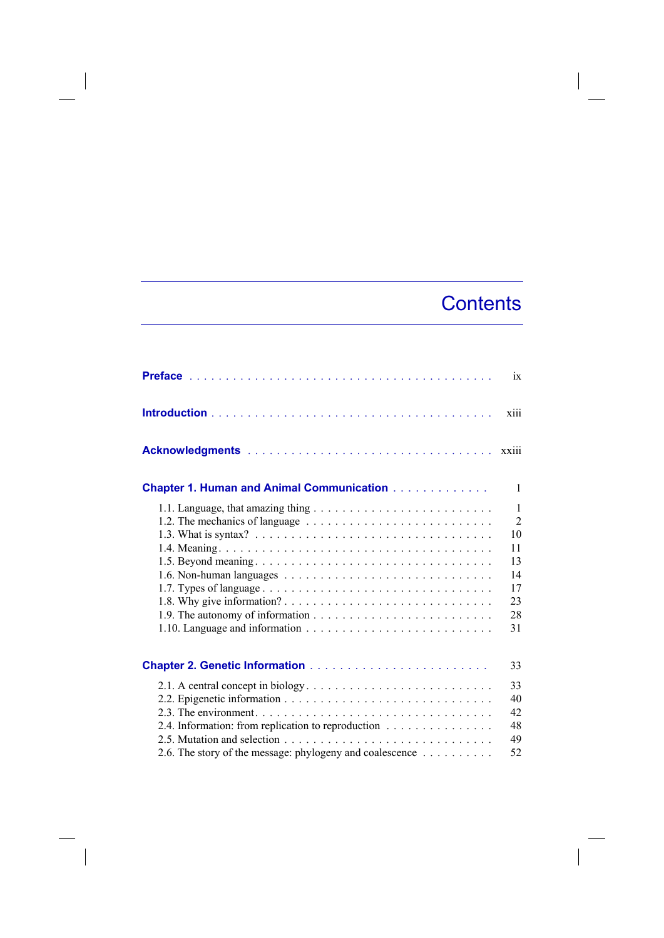## **Contents**

|                                                                                                                                                                                                                    | ix                                                                             |
|--------------------------------------------------------------------------------------------------------------------------------------------------------------------------------------------------------------------|--------------------------------------------------------------------------------|
|                                                                                                                                                                                                                    | xiii                                                                           |
|                                                                                                                                                                                                                    | xxiii                                                                          |
| <b>Chapter 1. Human and Animal Communication</b>                                                                                                                                                                   | $\mathbf{1}$                                                                   |
| 1.1. Language, that amazing thing $\dots \dots \dots \dots \dots \dots \dots \dots \dots$                                                                                                                          | $\mathbf{1}$<br>$\overline{2}$<br>10<br>11<br>13<br>14<br>17<br>23<br>28<br>31 |
|                                                                                                                                                                                                                    | 33                                                                             |
| 2.1. A central concept in biology. $\dots \dots \dots \dots \dots \dots \dots \dots \dots \dots$<br>2.4. Information: from replication to reproduction<br>2.6. The story of the message: phylogeny and coalescence | 33<br>40<br>42<br>48<br>49<br>52                                               |

 $\overline{\phantom{a}}$ 

 $\overline{\phantom{a}}$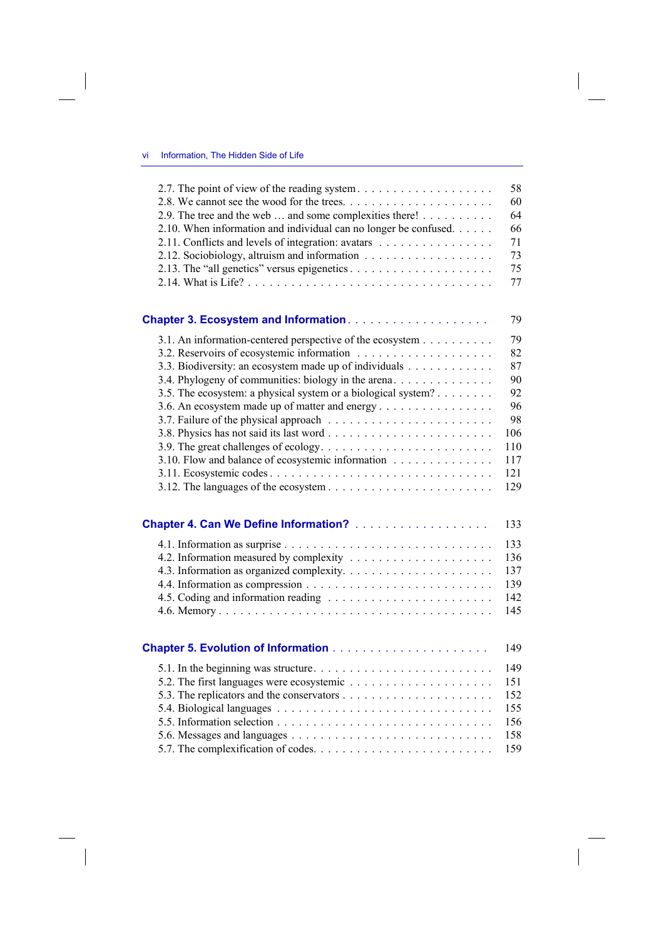$\overline{\phantom{a}}$ 

| 2.7. The point of view of the reading system                     | 58  |
|------------------------------------------------------------------|-----|
|                                                                  | 60  |
| 2.9. The tree and the web  and some complexities there!          | 64  |
| 2.10. When information and individual can no longer be confused. | 66  |
| 2.11. Conflicts and levels of integration: avatars               | 71  |
| 2.12. Sociobiology, altruism and information                     | 73  |
|                                                                  | 75  |
|                                                                  | 77  |
|                                                                  | 79  |
| 3.1. An information-centered perspective of the ecosystem        | 79  |
|                                                                  | 82  |
| 3.3. Biodiversity: an ecosystem made up of individuals           | 87  |
| 3.4. Phylogeny of communities: biology in the arena.             | 90  |
| 3.5. The ecosystem: a physical system or a biological system?    | 92  |
| 3.6. An ecosystem made up of matter and energy                   | 96  |
|                                                                  | 98  |
|                                                                  | 106 |
|                                                                  | 110 |
| 3.10. Flow and balance of ecosystemic information                | 117 |
|                                                                  | 121 |
|                                                                  | 129 |
|                                                                  | 133 |
|                                                                  | 133 |
| 4.2. Information measured by complexity                          | 136 |
|                                                                  | 137 |
|                                                                  | 139 |
|                                                                  | 142 |
|                                                                  | 145 |
|                                                                  | 149 |
|                                                                  | 149 |
|                                                                  | 151 |
|                                                                  | 152 |
|                                                                  | 155 |
|                                                                  | 156 |
|                                                                  | 158 |
|                                                                  | 159 |